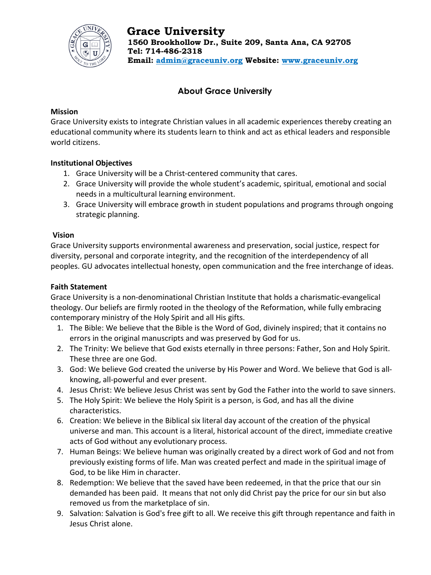

# **About Grace University**

#### **Mission**

Grace University exists to integrate Christian values in all academic experiences thereby creating an educational community where its students learn to think and act as ethical leaders and responsible world citizens.

### **Institutional Objectives**

- 1. Grace University will be a Christ-centered community that cares.
- 2. Grace University will provide the whole student's academic, spiritual, emotional and social needs in a multicultural learning environment.
- 3. Grace University will embrace growth in student populations and programs through ongoing strategic planning.

#### **Vision**

Grace University supports environmental awareness and preservation, social justice, respect for diversity, personal and corporate integrity, and the recognition of the interdependency of all peoples. GU advocates intellectual honesty, open communication and the free interchange of ideas.

## **Faith Statement**

Grace University is a non-denominational Christian Institute that holds a charismatic-evangelical theology. Our beliefs are firmly rooted in the theology of the Reformation, while fully embracing contemporary ministry of the Holy Spirit and all His gifts.

- 1. The Bible: We believe that the Bible is the Word of God, divinely inspired; that it contains no errors in the original manuscripts and was preserved by God for us.
- 2. The Trinity: We believe that God exists eternally in three persons: Father, Son and Holy Spirit. These three are one God.
- 3. God: We believe God created the universe by His Power and Word. We believe that God is allknowing, all-powerful and ever present.
- 4. Jesus Christ: We believe Jesus Christ was sent by God the Father into the world to save sinners.
- 5. The Holy Spirit: We believe the Holy Spirit is a person, is God, and has all the divine characteristics.
- 6. Creation: We believe in the Biblical six literal day account of the creation of the physical universe and man. This account is a literal, historical account of the direct, immediate creative acts of God without any evolutionary process.
- 7. Human Beings: We believe human was originally created by a direct work of God and not from previously existing forms of life. Man was created perfect and made in the spiritual image of God, to be like Him in character.
- 8. Redemption: We believe that the saved have been redeemed, in that the price that our sin demanded has been paid. It means that not only did Christ pay the price for our sin but also removed us from the marketplace of sin.
- 9. Salvation: Salvation is God's free gift to all. We receive this gift through repentance and faith in Jesus Christ alone.